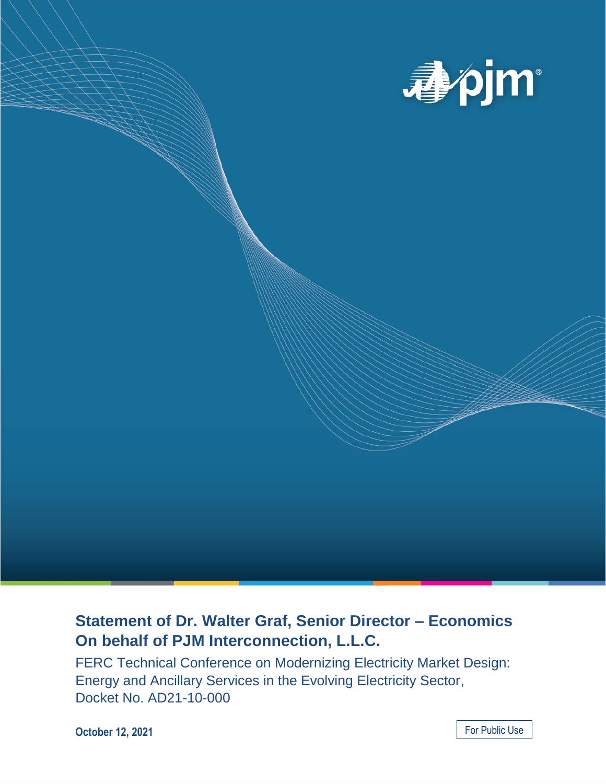

# **Statement of Dr. Walter Graf, Senior Director – Economics On behalf of PJM Interconnection, L.L.C.**

FERC Technical Conference on Modernizing Electricity Market Design: Energy and Ancillary Services in the Evolving Electricity Sector, Docket No. AD21-10-000

**October 12, 2021**

For Public Use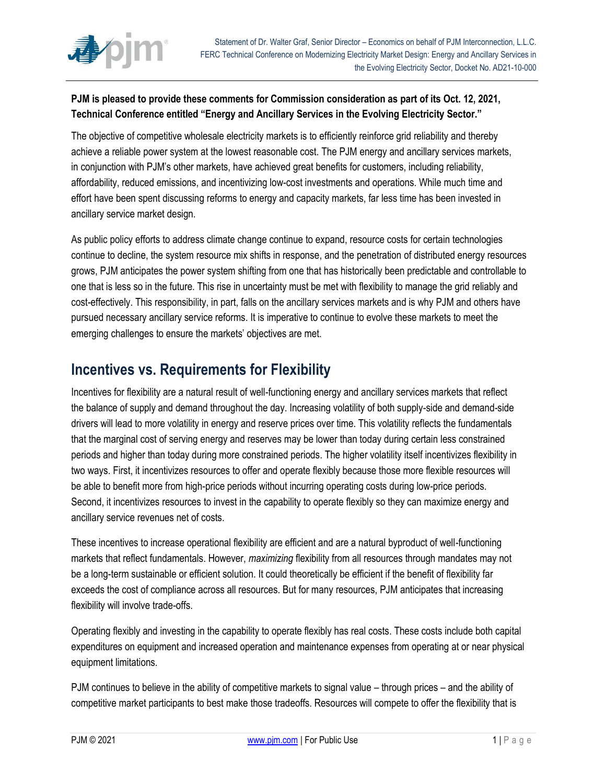

#### **PJM is pleased to provide these comments for Commission consideration as part of its Oct. 12, 2021, Technical Conference entitled "Energy and Ancillary Services in the Evolving Electricity Sector."**

The objective of competitive wholesale electricity markets is to efficiently reinforce grid reliability and thereby achieve a reliable power system at the lowest reasonable cost. The PJM energy and ancillary services markets, in conjunction with PJM's other markets, have achieved great benefits for customers, including reliability, affordability, reduced emissions, and incentivizing low-cost investments and operations. While much time and effort have been spent discussing reforms to energy and capacity markets, far less time has been invested in ancillary service market design.

As public policy efforts to address climate change continue to expand, resource costs for certain technologies continue to decline, the system resource mix shifts in response, and the penetration of distributed energy resources grows, PJM anticipates the power system shifting from one that has historically been predictable and controllable to one that is less so in the future. This rise in uncertainty must be met with flexibility to manage the grid reliably and cost-effectively. This responsibility, in part, falls on the ancillary services markets and is why PJM and others have pursued necessary ancillary service reforms. It is imperative to continue to evolve these markets to meet the emerging challenges to ensure the markets' objectives are met.

### **Incentives vs. Requirements for Flexibility**

Incentives for flexibility are a natural result of well-functioning energy and ancillary services markets that reflect the balance of supply and demand throughout the day. Increasing volatility of both supply-side and demand-side drivers will lead to more volatility in energy and reserve prices over time. This volatility reflects the fundamentals that the marginal cost of serving energy and reserves may be lower than today during certain less constrained periods and higher than today during more constrained periods. The higher volatility itself incentivizes flexibility in two ways. First, it incentivizes resources to offer and operate flexibly because those more flexible resources will be able to benefit more from high-price periods without incurring operating costs during low-price periods. Second, it incentivizes resources to invest in the capability to operate flexibly so they can maximize energy and ancillary service revenues net of costs.

These incentives to increase operational flexibility are efficient and are a natural byproduct of well-functioning markets that reflect fundamentals. However, *maximizing* flexibility from all resources through mandates may not be a long-term sustainable or efficient solution. It could theoretically be efficient if the benefit of flexibility far exceeds the cost of compliance across all resources. But for many resources, PJM anticipates that increasing flexibility will involve trade-offs.

Operating flexibly and investing in the capability to operate flexibly has real costs. These costs include both capital expenditures on equipment and increased operation and maintenance expenses from operating at or near physical equipment limitations.

PJM continues to believe in the ability of competitive markets to signal value – through prices – and the ability of competitive market participants to best make those tradeoffs. Resources will compete to offer the flexibility that is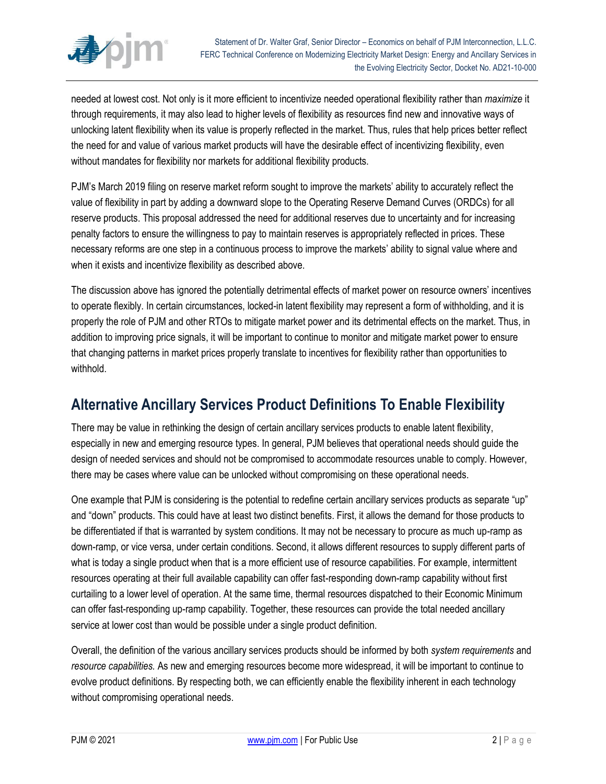

needed at lowest cost. Not only is it more efficient to incentivize needed operational flexibility rather than *maximize* it through requirements, it may also lead to higher levels of flexibility as resources find new and innovative ways of unlocking latent flexibility when its value is properly reflected in the market. Thus, rules that help prices better reflect the need for and value of various market products will have the desirable effect of incentivizing flexibility, even without mandates for flexibility nor markets for additional flexibility products.

PJM's March 2019 filing on reserve market reform sought to improve the markets' ability to accurately reflect the value of flexibility in part by adding a downward slope to the Operating Reserve Demand Curves (ORDCs) for all reserve products. This proposal addressed the need for additional reserves due to uncertainty and for increasing penalty factors to ensure the willingness to pay to maintain reserves is appropriately reflected in prices. These necessary reforms are one step in a continuous process to improve the markets' ability to signal value where and when it exists and incentivize flexibility as described above.

The discussion above has ignored the potentially detrimental effects of market power on resource owners' incentives to operate flexibly. In certain circumstances, locked-in latent flexibility may represent a form of withholding, and it is properly the role of PJM and other RTOs to mitigate market power and its detrimental effects on the market. Thus, in addition to improving price signals, it will be important to continue to monitor and mitigate market power to ensure that changing patterns in market prices properly translate to incentives for flexibility rather than opportunities to withhold.

## **Alternative Ancillary Services Product Definitions To Enable Flexibility**

There may be value in rethinking the design of certain ancillary services products to enable latent flexibility, especially in new and emerging resource types. In general, PJM believes that operational needs should guide the design of needed services and should not be compromised to accommodate resources unable to comply. However, there may be cases where value can be unlocked without compromising on these operational needs.

One example that PJM is considering is the potential to redefine certain ancillary services products as separate "up" and "down" products. This could have at least two distinct benefits. First, it allows the demand for those products to be differentiated if that is warranted by system conditions. It may not be necessary to procure as much up-ramp as down-ramp, or vice versa, under certain conditions. Second, it allows different resources to supply different parts of what is today a single product when that is a more efficient use of resource capabilities. For example, intermittent resources operating at their full available capability can offer fast-responding down-ramp capability without first curtailing to a lower level of operation. At the same time, thermal resources dispatched to their Economic Minimum can offer fast-responding up-ramp capability. Together, these resources can provide the total needed ancillary service at lower cost than would be possible under a single product definition.

Overall, the definition of the various ancillary services products should be informed by both *system requirements* and *resource capabilities.* As new and emerging resources become more widespread, it will be important to continue to evolve product definitions. By respecting both, we can efficiently enable the flexibility inherent in each technology without compromising operational needs.